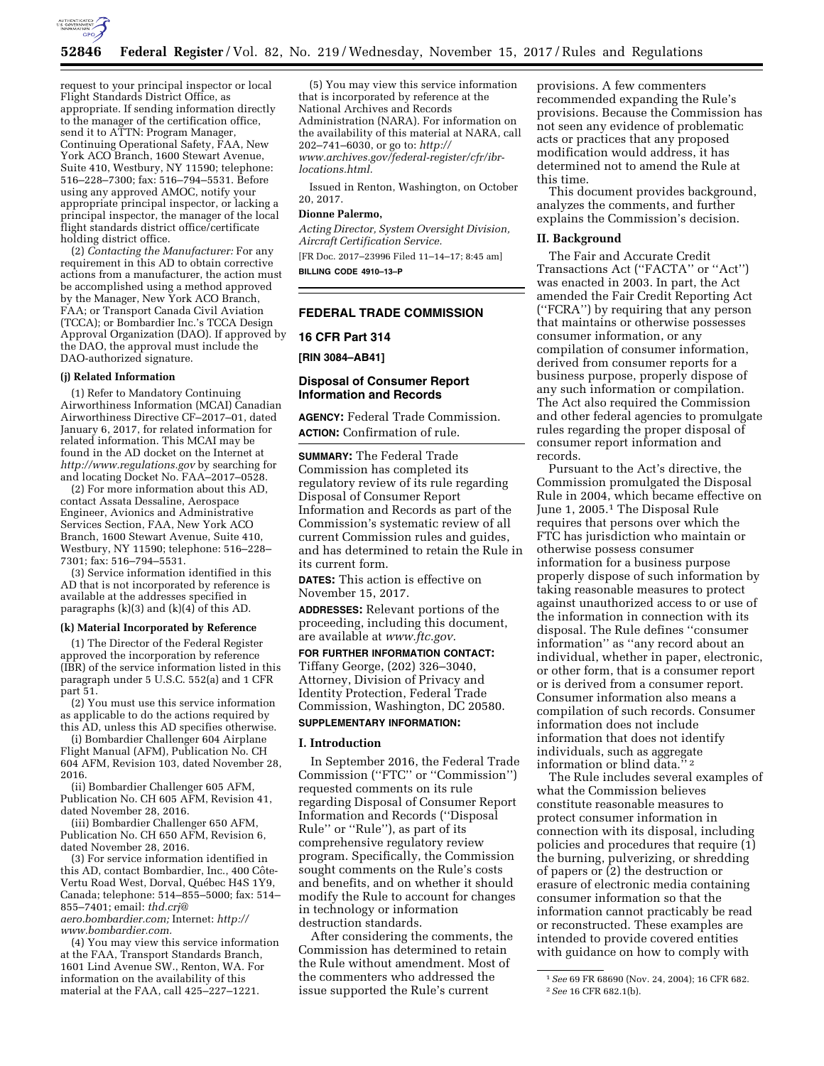

request to your principal inspector or local Flight Standards District Office, as appropriate. If sending information directly to the manager of the certification office, send it to ATTN: Program Manager, Continuing Operational Safety, FAA, New York ACO Branch, 1600 Stewart Avenue, Suite 410, Westbury, NY 11590; telephone: 516–228–7300; fax: 516–794–5531. Before using any approved AMOC, notify your appropriate principal inspector, or lacking a principal inspector, the manager of the local flight standards district office/certificate holding district office.

(2) *Contacting the Manufacturer:* For any requirement in this AD to obtain corrective actions from a manufacturer, the action must be accomplished using a method approved by the Manager, New York ACO Branch, FAA; or Transport Canada Civil Aviation (TCCA); or Bombardier Inc.'s TCCA Design Approval Organization (DAO). If approved by the DAO, the approval must include the DAO-authorized signature.

#### **(j) Related Information**

(1) Refer to Mandatory Continuing Airworthiness Information (MCAI) Canadian Airworthiness Directive CF–2017–01, dated January 6, 2017, for related information for related information. This MCAI may be found in the AD docket on the Internet at *<http://www.regulations.gov>*by searching for and locating Docket No. FAA–2017–0528.

(2) For more information about this AD, contact Assata Dessaline, Aerospace Engineer, Avionics and Administrative Services Section, FAA, New York ACO Branch, 1600 Stewart Avenue, Suite 410, Westbury, NY 11590; telephone: 516–228– 7301; fax: 516–794–5531.

(3) Service information identified in this AD that is not incorporated by reference is available at the addresses specified in paragraphs (k)(3) and (k)(4) of this AD.

#### **(k) Material Incorporated by Reference**

(1) The Director of the Federal Register approved the incorporation by reference (IBR) of the service information listed in this paragraph under 5 U.S.C. 552(a) and 1 CFR part 51.

(2) You must use this service information as applicable to do the actions required by this AD, unless this AD specifies otherwise.

(i) Bombardier Challenger 604 Airplane Flight Manual (AFM), Publication No. CH 604 AFM, Revision 103, dated November 28, 2016.

(ii) Bombardier Challenger 605 AFM, Publication No. CH 605 AFM, Revision 41, dated November 28, 2016.

(iii) Bombardier Challenger 650 AFM, Publication No. CH 650 AFM, Revision 6, dated November 28, 2016.

(3) For service information identified in this AD, contact Bombardier, Inc., 400 Côte-Vertu Road West, Dorval, Québec H4S 1Y9, Canada; telephone: 514–855–5000; fax: 514– 855–7401; email: *[thd.crj@](mailto:thd.crj@aero.bombardier.com) [aero.bombardier.com;](mailto:thd.crj@aero.bombardier.com)* Internet: *[http://](http://www.bombardier.com)*

*[www.bombardier.com.](http://www.bombardier.com)* 

(4) You may view this service information at the FAA, Transport Standards Branch, 1601 Lind Avenue SW., Renton, WA. For information on the availability of this material at the FAA, call 425–227–1221.

(5) You may view this service information that is incorporated by reference at the National Archives and Records Administration (NARA). For information on the availability of this material at NARA, call 202–741–6030, or go to: *[http://](http://www.archives.gov/federal-register/cfr/ibr-locations.html) [www.archives.gov/federal-register/cfr/ibr](http://www.archives.gov/federal-register/cfr/ibr-locations.html)[locations.html.](http://www.archives.gov/federal-register/cfr/ibr-locations.html)* 

Issued in Renton, Washington, on October 20, 2017.

## **Dionne Palermo,**

*Acting Director, System Oversight Division, Aircraft Certification Service.* 

[FR Doc. 2017–23996 Filed 11–14–17; 8:45 am] **BILLING CODE 4910–13–P** 

# **FEDERAL TRADE COMMISSION**

#### **16 CFR Part 314**

**[RIN 3084–AB41]** 

# **Disposal of Consumer Report Information and Records**

**AGENCY:** Federal Trade Commission. **ACTION:** Confirmation of rule.

**SUMMARY:** The Federal Trade Commission has completed its regulatory review of its rule regarding Disposal of Consumer Report Information and Records as part of the Commission's systematic review of all current Commission rules and guides, and has determined to retain the Rule in its current form.

**DATES:** This action is effective on November 15, 2017.

**ADDRESSES:** Relevant portions of the proceeding, including this document, are available at *[www.ftc.gov.](http://www.ftc.gov)* 

**FOR FURTHER INFORMATION CONTACT:**  Tiffany George, (202) 326–3040, Attorney, Division of Privacy and Identity Protection, Federal Trade Commission, Washington, DC 20580. **SUPPLEMENTARY INFORMATION:** 

# **I. Introduction**

In September 2016, the Federal Trade Commission (''FTC'' or ''Commission'') requested comments on its rule regarding Disposal of Consumer Report Information and Records (''Disposal Rule'' or ''Rule''), as part of its comprehensive regulatory review program. Specifically, the Commission sought comments on the Rule's costs and benefits, and on whether it should modify the Rule to account for changes in technology or information destruction standards.

After considering the comments, the Commission has determined to retain the Rule without amendment. Most of the commenters who addressed the issue supported the Rule's current

provisions. A few commenters recommended expanding the Rule's provisions. Because the Commission has not seen any evidence of problematic acts or practices that any proposed modification would address, it has determined not to amend the Rule at this time.

This document provides background, analyzes the comments, and further explains the Commission's decision.

#### **II. Background**

The Fair and Accurate Credit Transactions Act (''FACTA'' or ''Act'') was enacted in 2003. In part, the Act amended the Fair Credit Reporting Act (''FCRA'') by requiring that any person that maintains or otherwise possesses consumer information, or any compilation of consumer information, derived from consumer reports for a business purpose, properly dispose of any such information or compilation. The Act also required the Commission and other federal agencies to promulgate rules regarding the proper disposal of consumer report information and records.

Pursuant to the Act's directive, the Commission promulgated the Disposal Rule in 2004, which became effective on June 1, 2005.1 The Disposal Rule requires that persons over which the FTC has jurisdiction who maintain or otherwise possess consumer information for a business purpose properly dispose of such information by taking reasonable measures to protect against unauthorized access to or use of the information in connection with its disposal. The Rule defines ''consumer information'' as ''any record about an individual, whether in paper, electronic, or other form, that is a consumer report or is derived from a consumer report. Consumer information also means a compilation of such records. Consumer information does not include information that does not identify individuals, such as aggregate information or blind data."<sup>2</sup>

The Rule includes several examples of what the Commission believes constitute reasonable measures to protect consumer information in connection with its disposal, including policies and procedures that require (1) the burning, pulverizing, or shredding of papers or (2) the destruction or erasure of electronic media containing consumer information so that the information cannot practicably be read or reconstructed. These examples are intended to provide covered entities with guidance on how to comply with

<sup>1</sup>*See* 69 FR 68690 (Nov. 24, 2004); 16 CFR 682. 2*See* 16 CFR 682.1(b).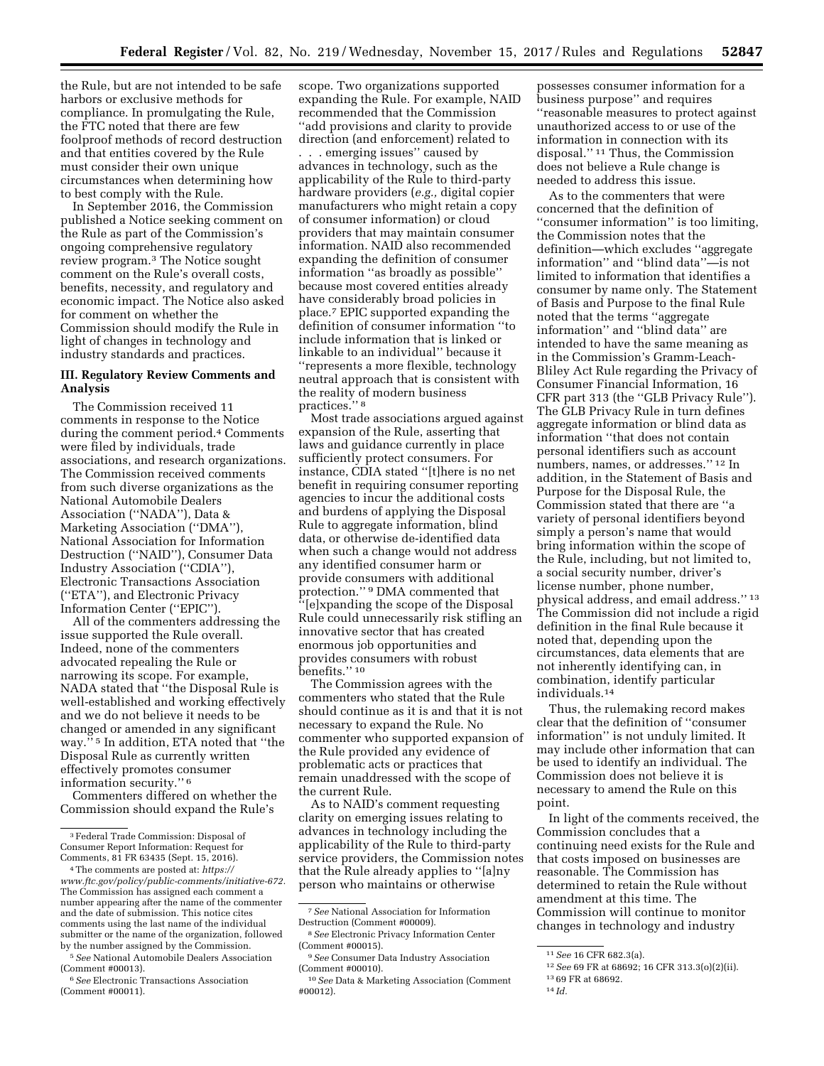the Rule, but are not intended to be safe harbors or exclusive methods for compliance. In promulgating the Rule, the FTC noted that there are few foolproof methods of record destruction and that entities covered by the Rule must consider their own unique circumstances when determining how to best comply with the Rule.

In September 2016, the Commission published a Notice seeking comment on the Rule as part of the Commission's ongoing comprehensive regulatory review program.3 The Notice sought comment on the Rule's overall costs, benefits, necessity, and regulatory and economic impact. The Notice also asked for comment on whether the Commission should modify the Rule in light of changes in technology and industry standards and practices.

# **III. Regulatory Review Comments and Analysis**

The Commission received 11 comments in response to the Notice during the comment period.4 Comments were filed by individuals, trade associations, and research organizations. The Commission received comments from such diverse organizations as the National Automobile Dealers Association (''NADA''), Data & Marketing Association (''DMA''), National Association for Information Destruction (''NAID''), Consumer Data Industry Association (''CDIA''), Electronic Transactions Association (''ETA''), and Electronic Privacy Information Center (''EPIC'').

All of the commenters addressing the issue supported the Rule overall. Indeed, none of the commenters advocated repealing the Rule or narrowing its scope. For example, NADA stated that ''the Disposal Rule is well-established and working effectively and we do not believe it needs to be changed or amended in any significant way.'' 5 In addition, ETA noted that ''the Disposal Rule as currently written effectively promotes consumer information security.'' 6

Commenters differed on whether the Commission should expand the Rule's

scope. Two organizations supported expanding the Rule. For example, NAID recommended that the Commission ''add provisions and clarity to provide direction (and enforcement) related to . . . emerging issues'' caused by advances in technology, such as the applicability of the Rule to third-party hardware providers (*e.g.,* digital copier manufacturers who might retain a copy of consumer information) or cloud providers that may maintain consumer information. NAID also recommended expanding the definition of consumer information ''as broadly as possible'' because most covered entities already have considerably broad policies in place.7 EPIC supported expanding the definition of consumer information ''to include information that is linked or linkable to an individual'' because it ''represents a more flexible, technology neutral approach that is consistent with the reality of modern business practices.'' 8

Most trade associations argued against expansion of the Rule, asserting that laws and guidance currently in place sufficiently protect consumers. For instance, CDIA stated ''[t]here is no net benefit in requiring consumer reporting agencies to incur the additional costs and burdens of applying the Disposal Rule to aggregate information, blind data, or otherwise de-identified data when such a change would not address any identified consumer harm or provide consumers with additional protection.'' 9 DMA commented that '[e]xpanding the scope of the Disposal Rule could unnecessarily risk stifling an innovative sector that has created enormous job opportunities and provides consumers with robust benefits.'' 10

The Commission agrees with the commenters who stated that the Rule should continue as it is and that it is not necessary to expand the Rule. No commenter who supported expansion of the Rule provided any evidence of problematic acts or practices that remain unaddressed with the scope of the current Rule.

As to NAID's comment requesting clarity on emerging issues relating to advances in technology including the applicability of the Rule to third-party service providers, the Commission notes that the Rule already applies to ''[a]ny person who maintains or otherwise

possesses consumer information for a business purpose'' and requires ''reasonable measures to protect against unauthorized access to or use of the information in connection with its disposal.'' 11 Thus, the Commission does not believe a Rule change is needed to address this issue.

As to the commenters that were concerned that the definition of ''consumer information'' is too limiting, the Commission notes that the definition—which excludes ''aggregate information'' and ''blind data''—is not limited to information that identifies a consumer by name only. The Statement of Basis and Purpose to the final Rule noted that the terms ''aggregate information'' and ''blind data'' are intended to have the same meaning as in the Commission's Gramm-Leach-Bliley Act Rule regarding the Privacy of Consumer Financial Information, 16 CFR part 313 (the ''GLB Privacy Rule''). The GLB Privacy Rule in turn defines aggregate information or blind data as information ''that does not contain personal identifiers such as account numbers, names, or addresses.'' 12 In addition, in the Statement of Basis and Purpose for the Disposal Rule, the Commission stated that there are ''a variety of personal identifiers beyond simply a person's name that would bring information within the scope of the Rule, including, but not limited to, a social security number, driver's license number, phone number, physical address, and email address.'' 13 The Commission did not include a rigid definition in the final Rule because it noted that, depending upon the circumstances, data elements that are not inherently identifying can, in combination, identify particular individuals.14

Thus, the rulemaking record makes clear that the definition of ''consumer information'' is not unduly limited. It may include other information that can be used to identify an individual. The Commission does not believe it is necessary to amend the Rule on this point.

In light of the comments received, the Commission concludes that a continuing need exists for the Rule and that costs imposed on businesses are reasonable. The Commission has determined to retain the Rule without amendment at this time. The Commission will continue to monitor changes in technology and industry

<sup>3</sup>Federal Trade Commission: Disposal of Consumer Report Information: Request for Comments, 81 FR 63435 (Sept. 15, 2016).

<sup>4</sup>The comments are posted at: *[https://](https://www.ftc.gov/policy/public-comments/initiative-672) [www.ftc.gov/policy/public-comments/initiative-672.](https://www.ftc.gov/policy/public-comments/initiative-672)*  The Commission has assigned each comment a number appearing after the name of the commenter and the date of submission. This notice cites comments using the last name of the individual submitter or the name of the organization, followed by the number assigned by the Commission.

<sup>5</sup>*See* National Automobile Dealers Association (Comment #00013).

<sup>6</sup>*See* Electronic Transactions Association (Comment #00011).

<sup>7</sup>*See* National Association for Information Destruction (Comment #00009).

<sup>8</sup>*See* Electronic Privacy Information Center (Comment #00015).

<sup>9</sup>*See* Consumer Data Industry Association (Comment #00010).

<sup>10</sup>*See* Data & Marketing Association (Comment #00012).

<sup>11</sup>*See* 16 CFR 682.3(a).

<sup>12</sup>*See* 69 FR at 68692; 16 CFR 313.3(o)(2)(ii).

<sup>13</sup> 69 FR at 68692.

<sup>14</sup> *Id.*